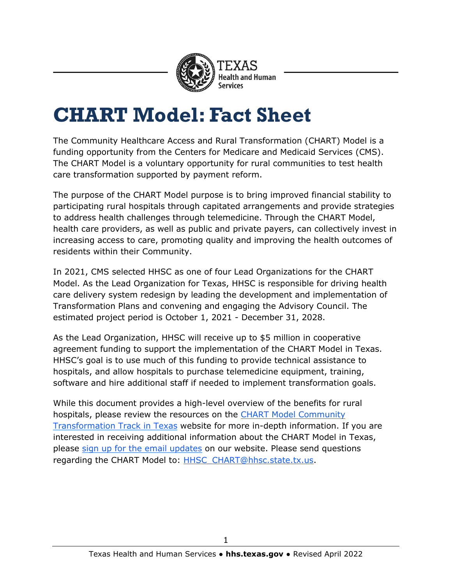

## **CHART Model: Fact Sheet**

The Community Healthcare Access and Rural Transformation (CHART) Model is a funding opportunity from the Centers for Medicare and Medicaid Services (CMS). The CHART Model is a voluntary opportunity for rural communities to test health care transformation supported by payment reform.

The purpose of the CHART Model purpose is to bring improved financial stability to participating rural hospitals through capitated arrangements and provide strategies to address health challenges through telemedicine. Through the CHART Model, health care providers, as well as public and private payers, can collectively invest in increasing access to care, promoting quality and improving the health outcomes of residents within their Community.

In 2021, CMS selected HHSC as one of four Lead Organizations for the CHART Model. As the Lead Organization for Texas, HHSC is responsible for driving health care delivery system redesign by leading the development and implementation of Transformation Plans and convening and engaging the Advisory Council. The estimated project period is October 1, 2021 - December 31, 2028.

As the Lead Organization, HHSC will receive up to \$5 million in cooperative agreement funding to support the implementation of the CHART Model in Texas. HHSC's goal is to use much of this funding to provide technical assistance to hospitals, and allow hospitals to purchase telemedicine equipment, training, software and hire additional staff if needed to implement transformation goals.

While this document provides a high-level overview of the benefits for rural hospitals, please review the resources on the [CHART Model Community](https://www.hhs.texas.gov/providers/medicaid-supplemental-payment-directed-payment-programs/rural-hospital-grant-facilitation/chart-model-community-transformation-track-texas)  [Transformation Track in](https://www.hhs.texas.gov/providers/medicaid-supplemental-payment-directed-payment-programs/rural-hospital-grant-facilitation/chart-model-community-transformation-track-texas) Texas website for more in-depth information. If you are interested in receiving additional information about the CHART Model in Texas, please [sign up for the](https://public.govdelivery.com/accounts/TXHHSC/subscriber/new?topic_id=TXHHSC_440) email updates on our website. Please send questions regarding the CHART Model to: [HHSC\\_CHART@hhsc.state.tx.us.](mailto:HHSC_CHART@hhsc.state.tx.us)